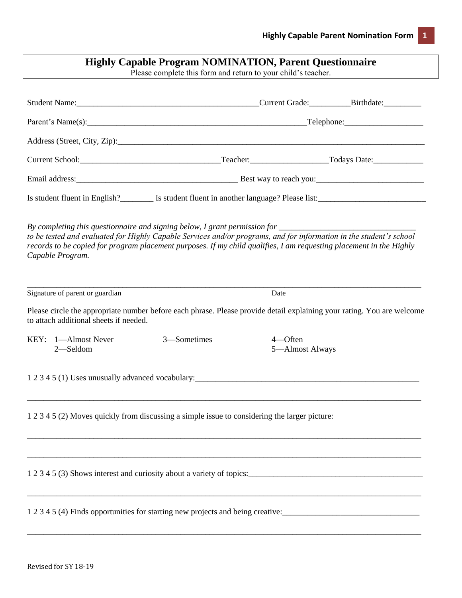| <b>Highly Capable Program NOMINATION, Parent Questionnaire</b><br>Please complete this form and return to your child's teacher. |                                        |                                                                                                                                                                                                                                                                                                                                                    |                                                                   |                                                                                                                                      |  |
|---------------------------------------------------------------------------------------------------------------------------------|----------------------------------------|----------------------------------------------------------------------------------------------------------------------------------------------------------------------------------------------------------------------------------------------------------------------------------------------------------------------------------------------------|-------------------------------------------------------------------|--------------------------------------------------------------------------------------------------------------------------------------|--|
|                                                                                                                                 |                                        |                                                                                                                                                                                                                                                                                                                                                    |                                                                   | Student Name: Birthdate: Birthdate: Birthdate: Birthdate:                                                                            |  |
|                                                                                                                                 |                                        |                                                                                                                                                                                                                                                                                                                                                    | Parent's Name(s): 2010 Contact Telephone: 2010 Contact Telephone: |                                                                                                                                      |  |
|                                                                                                                                 |                                        |                                                                                                                                                                                                                                                                                                                                                    |                                                                   |                                                                                                                                      |  |
|                                                                                                                                 |                                        |                                                                                                                                                                                                                                                                                                                                                    |                                                                   |                                                                                                                                      |  |
|                                                                                                                                 |                                        |                                                                                                                                                                                                                                                                                                                                                    |                                                                   |                                                                                                                                      |  |
|                                                                                                                                 |                                        |                                                                                                                                                                                                                                                                                                                                                    |                                                                   | Is student fluent in English?<br>Is student fluent in another language? Please list:<br><u>Letter and the language?</u> Please list: |  |
|                                                                                                                                 | Capable Program.                       | By completing this questionnaire and signing below, I grant permission for _________________________<br>to be tested and evaluated for Highly Capable Services and/or programs, and for information in the student's school<br>records to be copied for program placement purposes. If my child qualifies, I am requesting placement in the Highly |                                                                   |                                                                                                                                      |  |
|                                                                                                                                 | Signature of parent or guardian        |                                                                                                                                                                                                                                                                                                                                                    | Date                                                              |                                                                                                                                      |  |
|                                                                                                                                 | to attach additional sheets if needed. |                                                                                                                                                                                                                                                                                                                                                    |                                                                   | Please circle the appropriate number before each phrase. Please provide detail explaining your rating. You are welcome               |  |
|                                                                                                                                 | KEY: 1-Almost Never<br>2-Seldom        | 3-Sometimes                                                                                                                                                                                                                                                                                                                                        | 4-Often<br>5-Almost Always                                        |                                                                                                                                      |  |
|                                                                                                                                 |                                        | 1 2 3 4 5 (1) Uses unusually advanced vocabulary:                                                                                                                                                                                                                                                                                                  |                                                                   |                                                                                                                                      |  |
|                                                                                                                                 |                                        | 1 2 3 4 5 (2) Moves quickly from discussing a simple issue to considering the larger picture:                                                                                                                                                                                                                                                      |                                                                   |                                                                                                                                      |  |
|                                                                                                                                 |                                        | 1 2 3 4 5 (3) Shows interest and curiosity about a variety of topics:                                                                                                                                                                                                                                                                              |                                                                   |                                                                                                                                      |  |
|                                                                                                                                 |                                        |                                                                                                                                                                                                                                                                                                                                                    |                                                                   |                                                                                                                                      |  |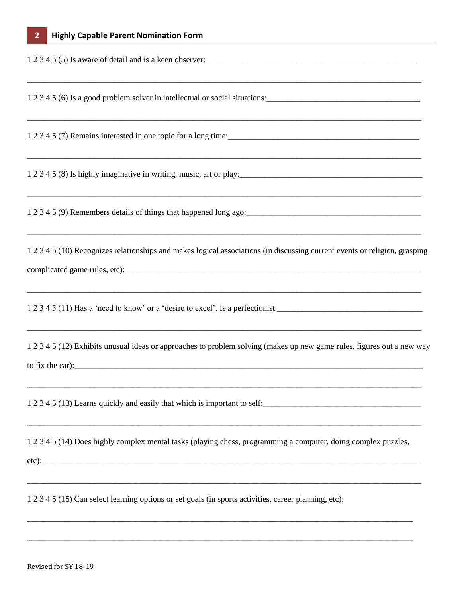| 1 2 3 4 5 (5) Is aware of detail and is a keen observer:<br><u>Letting and</u> the set of the set of detail and is a keen observer:                                                                            |
|----------------------------------------------------------------------------------------------------------------------------------------------------------------------------------------------------------------|
| ,我们也不能在这里的人,我们也不能在这里的人,我们也不能在这里的人,我们也不能在这里的人,我们也不能在这里的人,我们也不能在这里的人,我们也不能在这里的人,我们也<br>1 2 3 4 5 (6) Is a good problem solver in intellectual or social situations:                                              |
|                                                                                                                                                                                                                |
| 1 2 3 4 5 (8) Is highly imaginative in writing, music, art or play:<br><u>1 2 3 4 5 (8)</u> Is highly imaginative in writing, music, art or play:                                                              |
|                                                                                                                                                                                                                |
| ,我们就会在这里的人,我们就会在这里的人,我们就会在这里的人,我们就会在这里的人,我们就会在这里的人,我们就会在这里的人,我们就会在这里的人,我们就会在这里的人<br>1 2 3 4 5 (10) Recognizes relationships and makes logical associations (in discussing current events or religion, grasping |
| 1 2 3 4 5 (11) Has a 'need to know' or a 'desire to excel'. Is a perfectionist:                                                                                                                                |
| 1 2 3 4 5 (12) Exhibits unusual ideas or approaches to problem solving (makes up new game rules, figures out a new way<br>to fix the car): $\frac{1}{2}$ to fix the car):                                      |
| 1 2 3 4 5 (13) Learns quickly and easily that which is important to self:                                                                                                                                      |
| 1 2 3 4 5 (14) Does highly complex mental tasks (playing chess, programming a computer, doing complex puzzles,<br>$etc.$ $:$                                                                                   |
| 1 2 3 4 5 (15) Can select learning options or set goals (in sports activities, career planning, etc):                                                                                                          |
|                                                                                                                                                                                                                |